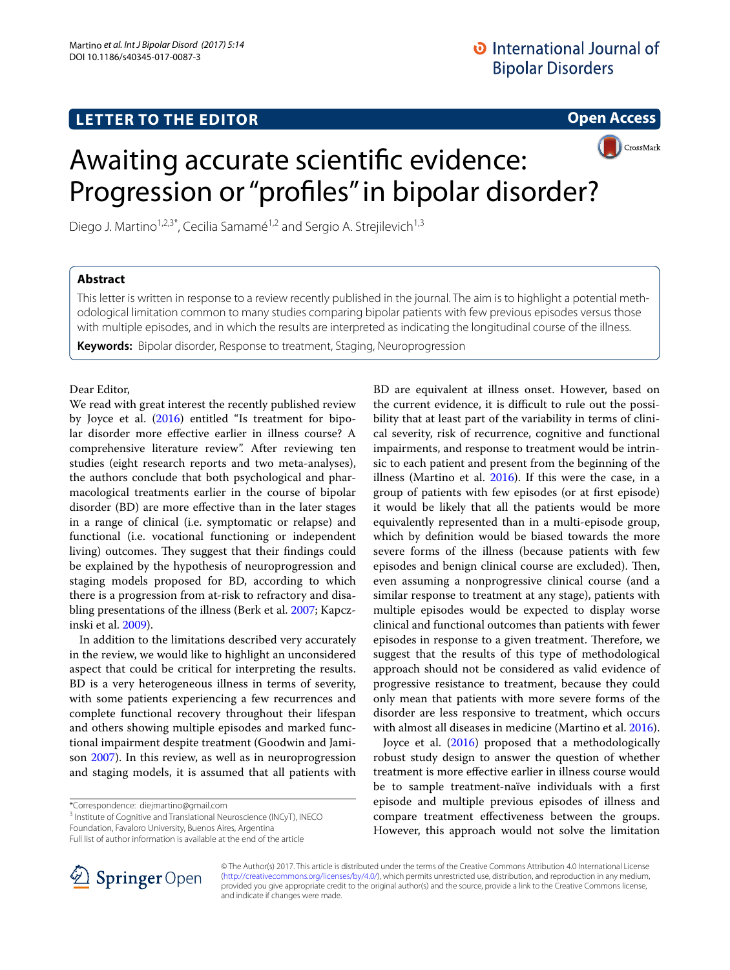## **LETTER TO THE EDITOR**

**Open Access**



# Awaiting accurate scientifc evidence: Progression or "profles" in bipolar disorder?

Diego J. Martino<sup>1,2,3\*</sup>, Cecilia Samamé<sup>1,2</sup> and Sergio A. Strejilevich<sup>1,3</sup>

## **Abstract**

This letter is written in response to a review recently published in the journal. The aim is to highlight a potential methodological limitation common to many studies comparing bipolar patients with few previous episodes versus those with multiple episodes, and in which the results are interpreted as indicating the longitudinal course of the illness.

**Keywords:** Bipolar disorder, Response to treatment, Staging, Neuroprogression

### Dear Editor,

We read with great interest the recently published review by Joyce et al. [\(2016](#page-1-0)) entitled "Is treatment for bipolar disorder more efective earlier in illness course? A comprehensive literature review". After reviewing ten studies (eight research reports and two meta-analyses), the authors conclude that both psychological and pharmacological treatments earlier in the course of bipolar disorder (BD) are more efective than in the later stages in a range of clinical (i.e. symptomatic or relapse) and functional (i.e. vocational functioning or independent living) outcomes. They suggest that their findings could be explained by the hypothesis of neuroprogression and staging models proposed for BD, according to which there is a progression from at-risk to refractory and disabling presentations of the illness (Berk et al. [2007](#page-1-1); Kapczinski et al. [2009\)](#page-1-2).

In addition to the limitations described very accurately in the review, we would like to highlight an unconsidered aspect that could be critical for interpreting the results. BD is a very heterogeneous illness in terms of severity, with some patients experiencing a few recurrences and complete functional recovery throughout their lifespan and others showing multiple episodes and marked functional impairment despite treatment (Goodwin and Jamison [2007\)](#page-1-3). In this review, as well as in neuroprogression and staging models, it is assumed that all patients with

\*Correspondence: diejmartino@gmail.com

<sup>3</sup> Institute of Cognitive and Translational Neuroscience (INCyT), INECO Foundation, Favaloro University, Buenos Aires, Argentina



Joyce et al. ([2016\)](#page-1-0) proposed that a methodologically robust study design to answer the question of whether treatment is more efective earlier in illness course would be to sample treatment-naïve individuals with a frst episode and multiple previous episodes of illness and compare treatment efectiveness between the groups. However, this approach would not solve the limitation



© The Author(s) 2017. This article is distributed under the terms of the Creative Commons Attribution 4.0 International License [\(http://creativecommons.org/licenses/by/4.0/\)](http://creativecommons.org/licenses/by/4.0/), which permits unrestricted use, distribution, and reproduction in any medium, provided you give appropriate credit to the original author(s) and the source, provide a link to the Creative Commons license, and indicate if changes were made.

Full list of author information is available at the end of the article